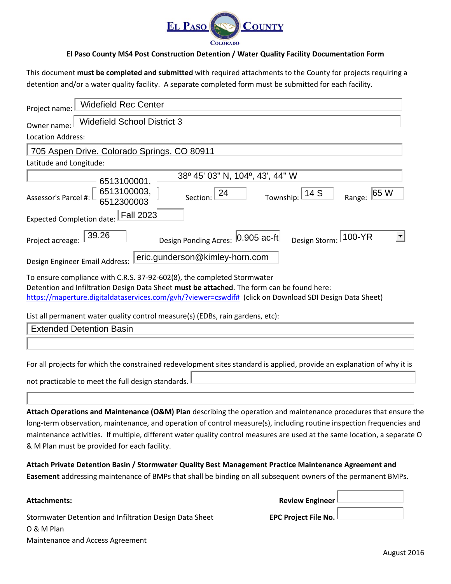

#### **El Paso County MS4 Post Construction Detention / Water Quality Facility Documentation Form**

This document **must be completed and submitted** with required attachments to the County for projects requiring a detention and/or a water quality facility. A separate completed form must be submitted for each facility.

| <b>Widefield Rec Center</b><br>Project name:                                                                                                                                                                                                                                                       |
|----------------------------------------------------------------------------------------------------------------------------------------------------------------------------------------------------------------------------------------------------------------------------------------------------|
| <b>Widefield School District 3</b><br>Owner name:                                                                                                                                                                                                                                                  |
| <b>Location Address:</b>                                                                                                                                                                                                                                                                           |
| 705 Aspen Drive. Colorado Springs, CO 80911                                                                                                                                                                                                                                                        |
| Latitude and Longitude:                                                                                                                                                                                                                                                                            |
| 38º 45' 03" N, 104°, 43', 44" W                                                                                                                                                                                                                                                                    |
| 6513100001,<br>6513100003,<br>6512300003<br>Section: $24$<br>Township: 14 S<br> 65 W<br>Assessor's Parcel #:<br>Range:                                                                                                                                                                             |
| <b>Fall 2023</b><br>Expected Completion date:                                                                                                                                                                                                                                                      |
| 39.26<br>100-YR<br>Design Ponding Acres: 0.905 ac-ft<br>Design Storm:<br>Project acreage:                                                                                                                                                                                                          |
| eric.gunderson@kimley-horn.com<br>Design Engineer Email Address:                                                                                                                                                                                                                                   |
| To ensure compliance with C.R.S. 37-92-602(8), the completed Stormwater<br>Detention and Infiltration Design Data Sheet must be attached. The form can be found here:<br>https://maperture.digitaldataservices.com/gvh/?viewer=cswdif# (click on Download SDI Design Data Sheet)                   |
| List all permanent water quality control measure(s) (EDBs, rain gardens, etc):                                                                                                                                                                                                                     |
| <b>Extended Detention Basin</b>                                                                                                                                                                                                                                                                    |
|                                                                                                                                                                                                                                                                                                    |
| For all projects for which the constrained redevelopment sites standard is applied, provide an explanation of why it is                                                                                                                                                                            |
| not practicable to meet the full design standards.                                                                                                                                                                                                                                                 |
| Attach Operations and Maintenance (O&M) Plan describing the operation and maintenance procedures that ensure the                                                                                                                                                                                   |
| long-term observation, maintenance, and operation of control measure(s), including routine inspection frequencies and<br>maintenance activities. If multiple, different water quality control measures are used at the same location, a separate O<br>& M Plan must be provided for each facility. |
| Attach Private Detention Basin / Stormwater Quality Best Management Practice Maintenance Agreement and<br>Easement addressing maintenance of BMPs that shall be binding on all subsequent owners of the permanent BMPs.                                                                            |

Stormwater Detention and Infiltration Design Data Sheet **EPC Project File No.** O & M Plan Maintenance and Access Agreement

**Attachments: Review Engineer Review Engineer Review Engineer Review Engineer**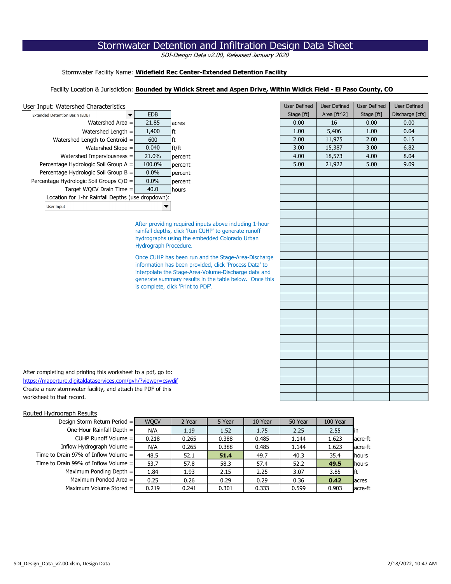| User Input: Watershed Characteristics                         |                       |                                                        | <b>User Defined</b> | User Defined | <b>User Defined</b> | User Defined    |
|---------------------------------------------------------------|-----------------------|--------------------------------------------------------|---------------------|--------------|---------------------|-----------------|
| Extended Detention Basin (EDB)                                | <b>EDB</b>            |                                                        | Stage [ft]          | Area [ft^2]  | Stage [ft]          | Discharge [cfs] |
| Watershed Area =                                              | 21.85                 | acres                                                  | 0.00                | 16           | 0.00                | 0.00            |
| Watershed Length $=$                                          | 1,400                 | lft.                                                   | 1.00                | 5,406        | 1.00                | 0.04            |
| Watershed Length to Centroid =                                | 600                   | ft                                                     | 2.00                | 11,975       | 2.00                | 0.15            |
| Watershed Slope =                                             | 0.040                 | ft/ft                                                  | 3.00                | 15,387       | 3.00                | 6.82            |
| Watershed Imperviousness =                                    | 21.0%                 | percent                                                | 4.00                | 18,573       | 4.00                | 8.04            |
| Percentage Hydrologic Soil Group A =                          | 100.0%                | percent                                                | 5.00                | 21,922       | 5.00                | 9.09            |
| Percentage Hydrologic Soil Group $B =$                        | 0.0%                  | percent                                                |                     |              |                     |                 |
| Percentage Hydrologic Soil Groups C/D =                       | 0.0%                  | percent                                                |                     |              |                     |                 |
| Target WQCV Drain Time $=$                                    | 40.0                  | hours                                                  |                     |              |                     |                 |
| Location for 1-hr Rainfall Depths (use dropdown):             |                       |                                                        |                     |              |                     |                 |
| User Input                                                    |                       |                                                        |                     |              |                     |                 |
|                                                               |                       |                                                        |                     |              |                     |                 |
|                                                               |                       | After providing required inputs above including 1-hour |                     |              |                     |                 |
|                                                               |                       | rainfall depths, click 'Run CUHP' to generate runoff   |                     |              |                     |                 |
|                                                               |                       | hydrographs using the embedded Colorado Urban          |                     |              |                     |                 |
|                                                               | Hydrograph Procedure. |                                                        |                     |              |                     |                 |
|                                                               |                       | Once CUHP has been run and the Stage-Area-Discharge    |                     |              |                     |                 |
|                                                               |                       | information has been provided, click 'Process Data' to |                     |              |                     |                 |
|                                                               |                       | interpolate the Stage-Area-Volume-Discharge data and   |                     |              |                     |                 |
|                                                               |                       | generate summary results in the table below. Once this |                     |              |                     |                 |
|                                                               |                       | is complete, click 'Print to PDF'.                     |                     |              |                     |                 |
|                                                               |                       |                                                        |                     |              |                     |                 |
|                                                               |                       |                                                        |                     |              |                     |                 |
|                                                               |                       |                                                        |                     |              |                     |                 |
|                                                               |                       |                                                        |                     |              |                     |                 |
|                                                               |                       |                                                        |                     |              |                     |                 |
|                                                               |                       |                                                        |                     |              |                     |                 |
|                                                               |                       |                                                        |                     |              |                     |                 |
|                                                               |                       |                                                        |                     |              |                     |                 |
|                                                               |                       |                                                        |                     |              |                     |                 |
| After completing and printing this worksheet to a pdf, go to: |                       |                                                        |                     |              |                     |                 |
| https://maperture.digitaldataservices.com/gvh/?viewer=cswdif  |                       |                                                        |                     |              |                     |                 |
| Create a new stormwater facility, and attach the PDF of this  |                       |                                                        |                     |              |                     |                 |
| worksheet to that record.                                     |                       |                                                        |                     |              |                     |                 |

| After completing and printing this worksheet to a pdf, go to: |
|---------------------------------------------------------------|
| https://maperture.digitaldataservices.com/gvh/?viewer=cswdif  |
| Create a new stormwater facility, and attach the PDF of this  |
| worksheet to that record.                                     |

# Routed Hydrograph Results

# Stormwater Facility Name: **Widefield Rec Center-Extended Detention Facility**

# Facility Location & Jurisdiction: **Bounded by Widick Street and Aspen Drive, Within Widick Field - El Paso County, CO**

|  |  | User Input: Watershed Characteristics |
|--|--|---------------------------------------|
|  |  |                                       |

| Extended Detention Basin (EDB)<br>$\blacktriangledown$ | <b>EDB</b> |               | Stage [ft] | Area $\lceil \frac{ft}{2} \rceil$ | Stage [ft] | Discharge |
|--------------------------------------------------------|------------|---------------|------------|-----------------------------------|------------|-----------|
| Watershed Area $=$                                     | 21.85      | <b>lacres</b> | 0.00       | 16                                | 0.00       | 0.00      |
| Watershed Length $=$                                   | 1,400      | <b>Ift</b>    | 1.00       | 5,406                             | 1.00       | 0.04      |
| Watershed Length to Centroid $=$                       | 600        | lft           | 2.00       | 11,975                            | 2.00       | 0.15      |
| Watershed Slope $=$                                    | 0.040      | ft/ft         | 3.00       | 15,387                            | 3.00       | 6.82      |
| Watershed Imperviousness $=$                           | 21.0%      | percent       | 4.00       | 18,573                            | 4.00       | 8.04      |
| Percentage Hydrologic Soil Group $A =$                 | 100.0%     | percent       | 5.00       | 21,922                            | 5.00       | 9.09      |
| Percentage Hydrologic Soil Group $B =$                 | $0.0\%$    | percent       |            |                                   |            |           |
| Percentage Hydrologic Soil Groups $C/D =$              | $0.0\%$    | percent       |            |                                   |            |           |
| Target WQCV Drain Time $=$                             | 40.0       | <b>hours</b>  |            |                                   |            |           |
| Location for 1-hr Rainfall Depths (use dropdown):      |            |               |            |                                   |            |           |
| User Input                                             |            |               |            |                                   |            |           |
|                                                        |            |               |            |                                   |            |           |

| Design Storm Return Period $=$         | <b>WQCV</b> | 2 Year | 5 Year | 10 Year | 50 Year | 100 Year |                |
|----------------------------------------|-------------|--------|--------|---------|---------|----------|----------------|
| One-Hour Rainfall Depth $=$            | N/A         | 1.19   | 1.52   | 1.75    | 2.25    | 2.55     | lın            |
| CUHP Runoff Volume $=$                 | 0.218       | 0.265  | 0.388  | 0.485   | 1.144   | 1.623    | acre-ft        |
| Inflow Hydrograph Volume $=$           | N/A         | 0.265  | 0.388  | 0.485   | 1.144   | 1.623    | acre-ft        |
| Time to Drain 97% of Inflow Volume $=$ | 48.5        | 52.1   | 51.4   | 49.7    | 40.3    | 35.4     | hours          |
| Time to Drain 99% of Inflow Volume $=$ | 53.7        | 57.8   | 58.3   | 57.4    | 52.2    | 49.5     | <b>I</b> hours |
| Maximum Ponding Depth $=$              | 1.84        | 1.93   | 2.15   | 2.25    | 3.07    | 3.85     | lft            |
| Maximum Ponded Area $=$                | 0.25        | 0.26   | 0.29   | 0.29    | 0.36    | 0.42     | <b>l</b> acres |
| Maximum Volume Stored $=$              | 0.219       | 0.241  | 0.301  | 0.333   | 0.599   | 0.903    | acre-ft        |

# Stormwater Detention and Infiltration Design Data Sheet

SDI-Design Data v2.00, Released January 2020

SDI\_Design\_Data\_v2.00.xlsm, Design Data 2/18/2022, 10:47 AM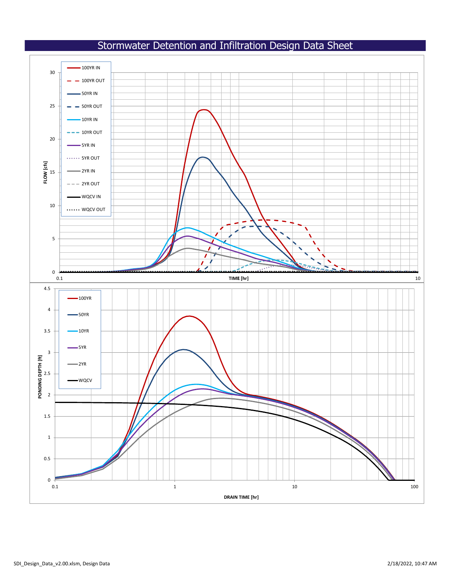# Stormwater Detention and Infiltration Design Data Sheet





SDI\_Design\_Data\_v2.00.xlsm, Design Data 2/18/2022, 10:47 AM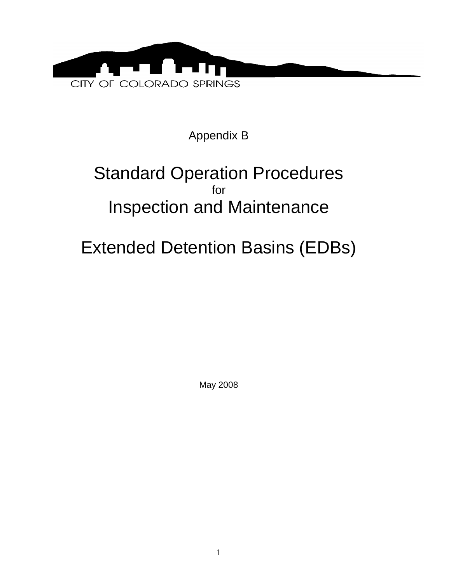

Appendix B

# Standard Operation Procedures for Inspection and Maintenance

# Extended Detention Basins (EDBs)

May 2008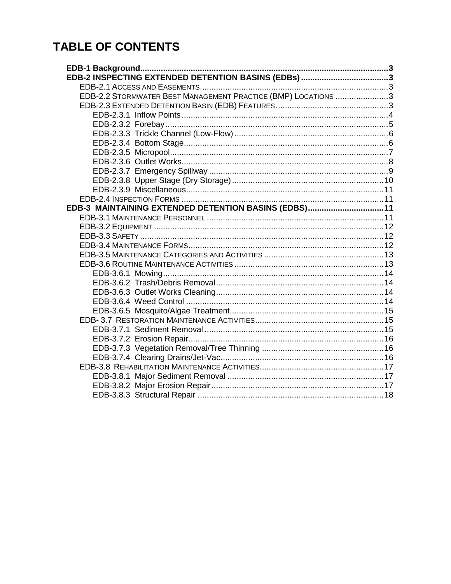# **TABLE OF CONTENTS**

| EDB-2.2 STORMWATER BEST MANAGEMENT PRACTICE (BMP) LOCATIONS 3 |  |
|---------------------------------------------------------------|--|
|                                                               |  |
|                                                               |  |
|                                                               |  |
|                                                               |  |
|                                                               |  |
|                                                               |  |
|                                                               |  |
|                                                               |  |
|                                                               |  |
|                                                               |  |
|                                                               |  |
| EDB-3 MAINTAINING EXTENDED DETENTION BASINS (EDBS)11          |  |
|                                                               |  |
|                                                               |  |
|                                                               |  |
|                                                               |  |
|                                                               |  |
|                                                               |  |
|                                                               |  |
|                                                               |  |
|                                                               |  |
|                                                               |  |
|                                                               |  |
|                                                               |  |
|                                                               |  |
|                                                               |  |
|                                                               |  |
|                                                               |  |
|                                                               |  |
|                                                               |  |
|                                                               |  |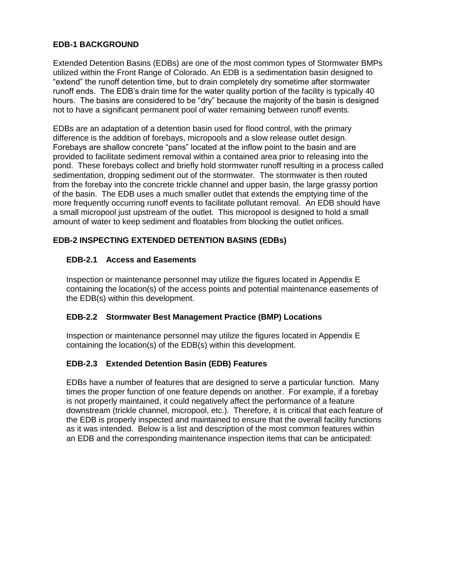# <span id="page-5-0"></span>**EDB-1 BACKGROUND**

Extended Detention Basins (EDBs) are one of the most common types of Stormwater BMPs utilized within the Front Range of Colorado. An EDB is a sedimentation basin designed to "extend" the runoff detention time, but to drain completely dry sometime after stormwater runoff ends. The EDB's drain time for the water quality portion of the facility is typically 40 hours. The basins are considered to be "dry" because the majority of the basin is designed not to have a significant permanent pool of water remaining between runoff events.

EDBs are an adaptation of a detention basin used for flood control, with the primary difference is the addition of forebays, micropools and a slow release outlet design. Forebays are shallow concrete "pans" located at the inflow point to the basin and are provided to facilitate sediment removal within a contained area prior to releasing into the pond. These forebays collect and briefly hold stormwater runoff resulting in a process called sedimentation, dropping sediment out of the stormwater. The stormwater is then routed from the forebay into the concrete trickle channel and upper basin, the large grassy portion of the basin. The EDB uses a much smaller outlet that extends the emptying time of the more frequently occurring runoff events to facilitate pollutant removal. An EDB should have a small micropool just upstream of the outlet. This micropool is designed to hold a small amount of water to keep sediment and floatables from blocking the outlet orifices.

# <span id="page-5-2"></span><span id="page-5-1"></span>**EDB-2 INSPECTING EXTENDED DETENTION BASINS (EDBs)**

# **EDB-2.1 Access and Easements**

Inspection or maintenance personnel may utilize the figures located in Appendix E containing the location(s) of the access points and potential maintenance easements of the EDB(s) within this development.

## <span id="page-5-3"></span>**EDB-2.2 Stormwater Best Management Practice (BMP) Locations**

Inspection or maintenance personnel may utilize the figures located in Appendix E containing the location(s) of the EDB(s) within this development.

## <span id="page-5-4"></span>**EDB-2.3 Extended Detention Basin (EDB) Features**

EDBs have a number of features that are designed to serve a particular function. Many times the proper function of one feature depends on another. For example, if a forebay is not properly maintained, it could negatively affect the performance of a feature downstream (trickle channel, micropool, etc.). Therefore, it is critical that each feature of the EDB is properly inspected and maintained to ensure that the overall facility functions as it was intended. Below is a list and description of the most common features within an EDB and the corresponding maintenance inspection items that can be anticipated: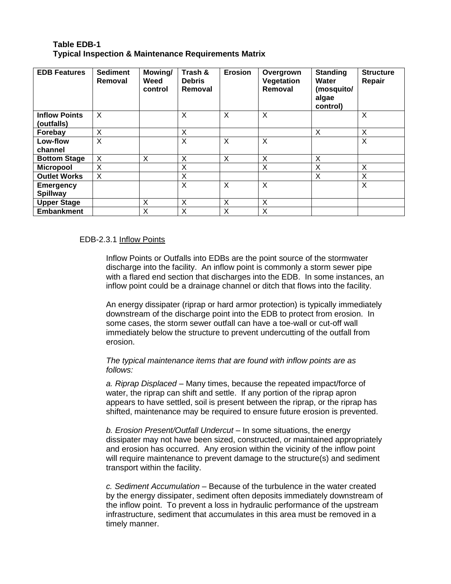# **Table EDB-1 Typical Inspection & Maintenance Requirements Matrix**

| <b>EDB Features</b>                | <b>Sediment</b><br>Removal | Mowing/<br>Weed<br>control | Trash &<br><b>Debris</b><br>Removal | <b>Erosion</b> | Overgrown<br>Vegetation<br>Removal | <b>Standing</b><br>Water<br>(mosquito/<br>algae<br>control) | <b>Structure</b><br>Repair |
|------------------------------------|----------------------------|----------------------------|-------------------------------------|----------------|------------------------------------|-------------------------------------------------------------|----------------------------|
| <b>Inflow Points</b><br>(outfalls) | X                          |                            | X                                   | X              | X                                  |                                                             | X                          |
| Forebay                            | X                          |                            | X                                   |                |                                    | X                                                           | X                          |
| Low-flow                           | X                          |                            | X                                   | X              | X                                  |                                                             | X                          |
| channel                            |                            |                            |                                     |                |                                    |                                                             |                            |
| <b>Bottom Stage</b>                | X                          | X                          | X                                   | X              | X                                  | X                                                           |                            |
| <b>Micropool</b>                   | X                          |                            | X                                   |                | X                                  | X                                                           | X                          |
| <b>Outlet Works</b>                | X                          |                            | X                                   |                |                                    | Χ                                                           | X                          |
| <b>Emergency</b>                   |                            |                            | X                                   | X              | X                                  |                                                             | X                          |
| <b>Spillway</b>                    |                            |                            |                                     |                |                                    |                                                             |                            |
| <b>Upper Stage</b>                 |                            | X                          | X                                   | X              | X                                  |                                                             |                            |
| <b>Embankment</b>                  |                            | X                          | X                                   | X              | X                                  |                                                             |                            |

#### <span id="page-6-0"></span>EDB-2.3.1 Inflow Points

Inflow Points or Outfalls into EDBs are the point source of the stormwater discharge into the facility. An inflow point is commonly a storm sewer pipe with a flared end section that discharges into the EDB. In some instances, an inflow point could be a drainage channel or ditch that flows into the facility.

An energy dissipater (riprap or hard armor protection) is typically immediately downstream of the discharge point into the EDB to protect from erosion. In some cases, the storm sewer outfall can have a toe-wall or cut-off wall immediately below the structure to prevent undercutting of the outfall from erosion.

*The typical maintenance items that are found with inflow points are as follows:* 

*a. Riprap Displaced* – Many times, because the repeated impact/force of water, the riprap can shift and settle. If any portion of the riprap apron appears to have settled, soil is present between the riprap, or the riprap has shifted, maintenance may be required to ensure future erosion is prevented.

*b. Erosion Present/Outfall Undercut* – In some situations, the energy dissipater may not have been sized, constructed, or maintained appropriately and erosion has occurred. Any erosion within the vicinity of the inflow point will require maintenance to prevent damage to the structure(s) and sediment transport within the facility.

*c. Sediment Accumulation* – Because of the turbulence in the water created by the energy dissipater, sediment often deposits immediately downstream of the inflow point. To prevent a loss in hydraulic performance of the upstream infrastructure, sediment that accumulates in this area must be removed in a timely manner.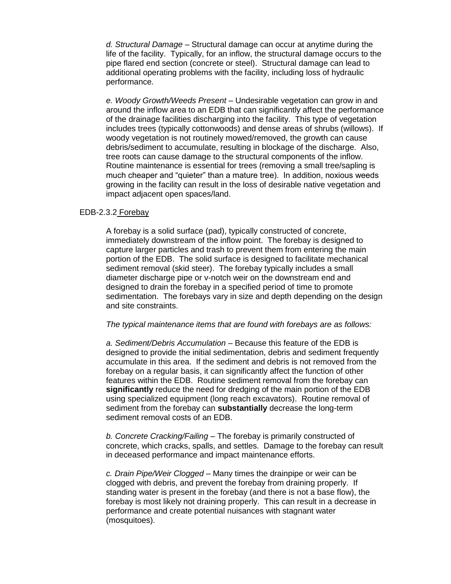*d. Structural Damage* – Structural damage can occur at anytime during the life of the facility. Typically, for an inflow, the structural damage occurs to the pipe flared end section (concrete or steel). Structural damage can lead to additional operating problems with the facility, including loss of hydraulic performance.

*e. Woody Growth/Weeds Present* – Undesirable vegetation can grow in and around the inflow area to an EDB that can significantly affect the performance of the drainage facilities discharging into the facility. This type of vegetation includes trees (typically cottonwoods) and dense areas of shrubs (willows). If woody vegetation is not routinely mowed/removed, the growth can cause debris/sediment to accumulate, resulting in blockage of the discharge. Also, tree roots can cause damage to the structural components of the inflow. Routine maintenance is essential for trees (removing a small tree/sapling is much cheaper and "quieter" than a mature tree). In addition, noxious weeds growing in the facility can result in the loss of desirable native vegetation and impact adjacent open spaces/land.

#### <span id="page-7-0"></span>EDB-2.3.2 Forebay

A forebay is a solid surface (pad), typically constructed of concrete, immediately downstream of the inflow point. The forebay is designed to capture larger particles and trash to prevent them from entering the main portion of the EDB. The solid surface is designed to facilitate mechanical sediment removal (skid steer). The forebay typically includes a small diameter discharge pipe or v-notch weir on the downstream end and designed to drain the forebay in a specified period of time to promote sedimentation. The forebays vary in size and depth depending on the design and site constraints.

#### *The typical maintenance items that are found with forebays are as follows:*

*a. Sediment/Debris Accumulation* – Because this feature of the EDB is designed to provide the initial sedimentation, debris and sediment frequently accumulate in this area. If the sediment and debris is not removed from the forebay on a regular basis, it can significantly affect the function of other features within the EDB. Routine sediment removal from the forebay can **significantly** reduce the need for dredging of the main portion of the EDB using specialized equipment (long reach excavators). Routine removal of sediment from the forebay can **substantially** decrease the long-term sediment removal costs of an EDB.

*b. Concrete Cracking/Failing* – The forebay is primarily constructed of concrete, which cracks, spalls, and settles. Damage to the forebay can result in deceased performance and impact maintenance efforts.

*c. Drain Pipe/Weir Clogged* – Many times the drainpipe or weir can be clogged with debris, and prevent the forebay from draining properly. If standing water is present in the forebay (and there is not a base flow), the forebay is most likely not draining properly. This can result in a decrease in performance and create potential nuisances with stagnant water (mosquitoes).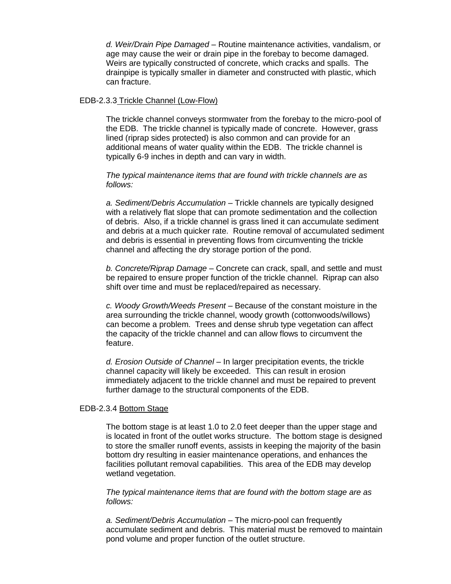*d. Weir/Drain Pipe Damaged* – Routine maintenance activities, vandalism, or age may cause the weir or drain pipe in the forebay to become damaged. Weirs are typically constructed of concrete, which cracks and spalls. The drainpipe is typically smaller in diameter and constructed with plastic, which can fracture.

#### <span id="page-8-0"></span>EDB-2.3.3 Trickle Channel (Low-Flow)

The trickle channel conveys stormwater from the forebay to the micro-pool of the EDB. The trickle channel is typically made of concrete. However, grass lined (riprap sides protected) is also common and can provide for an additional means of water quality within the EDB. The trickle channel is typically 6-9 inches in depth and can vary in width.

*The typical maintenance items that are found with trickle channels are as follows:* 

*a. Sediment/Debris Accumulation* – Trickle channels are typically designed with a relatively flat slope that can promote sedimentation and the collection of debris. Also, if a trickle channel is grass lined it can accumulate sediment and debris at a much quicker rate. Routine removal of accumulated sediment and debris is essential in preventing flows from circumventing the trickle channel and affecting the dry storage portion of the pond.

*b. Concrete/Riprap Damage* – Concrete can crack, spall, and settle and must be repaired to ensure proper function of the trickle channel. Riprap can also shift over time and must be replaced/repaired as necessary.

*c. Woody Growth/Weeds Present* – Because of the constant moisture in the area surrounding the trickle channel, woody growth (cottonwoods/willows) can become a problem. Trees and dense shrub type vegetation can affect the capacity of the trickle channel and can allow flows to circumvent the feature.

*d. Erosion Outside of Channel* – In larger precipitation events, the trickle channel capacity will likely be exceeded. This can result in erosion immediately adjacent to the trickle channel and must be repaired to prevent further damage to the structural components of the EDB.

#### <span id="page-8-1"></span>EDB-2.3.4 Bottom Stage

The bottom stage is at least 1.0 to 2.0 feet deeper than the upper stage and is located in front of the outlet works structure. The bottom stage is designed to store the smaller runoff events, assists in keeping the majority of the basin bottom dry resulting in easier maintenance operations, and enhances the facilities pollutant removal capabilities. This area of the EDB may develop wetland vegetation.

*The typical maintenance items that are found with the bottom stage are as follows:* 

*a. Sediment/Debris Accumulation* – The micro-pool can frequently accumulate sediment and debris. This material must be removed to maintain pond volume and proper function of the outlet structure.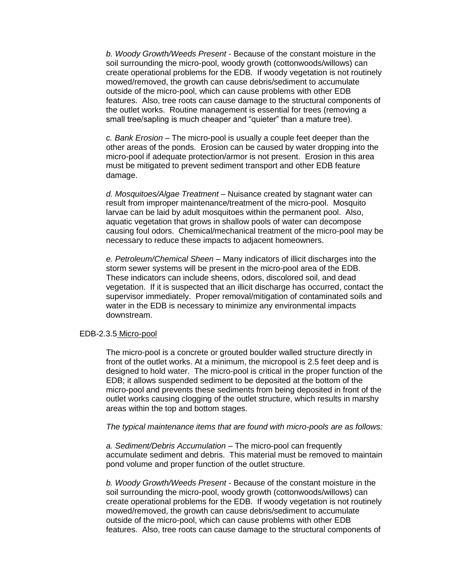*b. Woody Growth/Weeds Present* - Because of the constant moisture in the soil surrounding the micro-pool, woody growth (cottonwoods/willows) can create operational problems for the EDB. If woody vegetation is not routinely mowed/removed, the growth can cause debris/sediment to accumulate outside of the micro-pool, which can cause problems with other EDB features. Also, tree roots can cause damage to the structural components of the outlet works. Routine management is essential for trees (removing a small tree/sapling is much cheaper and "quieter" than a mature tree).

*c. Bank Erosion* – The micro-pool is usually a couple feet deeper than the other areas of the ponds. Erosion can be caused by water dropping into the micro-pool if adequate protection/armor is not present. Erosion in this area must be mitigated to prevent sediment transport and other EDB feature damage.

*d. Mosquitoes/Algae Treatment* – Nuisance created by stagnant water can result from improper maintenance/treatment of the micro-pool. Mosquito larvae can be laid by adult mosquitoes within the permanent pool. Also, aquatic vegetation that grows in shallow pools of water can decompose causing foul odors. Chemical/mechanical treatment of the micro-pool may be necessary to reduce these impacts to adjacent homeowners.

*e. Petroleum/Chemical Sheen* – Many indicators of illicit discharges into the storm sewer systems will be present in the micro-pool area of the EDB. These indicators can include sheens, odors, discolored soil, and dead vegetation. If it is suspected that an illicit discharge has occurred, contact the supervisor immediately. Proper removal/mitigation of contaminated soils and water in the EDB is necessary to minimize any environmental impacts downstream.

#### <span id="page-9-0"></span>EDB-2.3.5 Micro-pool

The micro-pool is a concrete or grouted boulder walled structure directly in front of the outlet works. At a minimum, the micropool is 2.5 feet deep and is designed to hold water. The micro-pool is critical in the proper function of the EDB; it allows suspended sediment to be deposited at the bottom of the micro-pool and prevents these sediments from being deposited in front of the outlet works causing clogging of the outlet structure, which results in marshy areas within the top and bottom stages.

#### *The typical maintenance items that are found with micro-pools are as follows:*

*a. Sediment/Debris Accumulation* – The micro-pool can frequently accumulate sediment and debris. This material must be removed to maintain pond volume and proper function of the outlet structure.

*b. Woody Growth/Weeds Present* - Because of the constant moisture in the soil surrounding the micro-pool, woody growth (cottonwoods/willows) can create operational problems for the EDB. If woody vegetation is not routinely mowed/removed, the growth can cause debris/sediment to accumulate outside of the micro-pool, which can cause problems with other EDB features. Also, tree roots can cause damage to the structural components of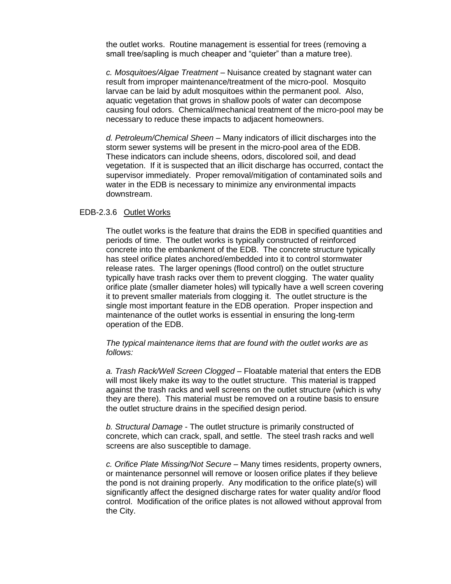the outlet works. Routine management is essential for trees (removing a small tree/sapling is much cheaper and "quieter" than a mature tree).

*c. Mosquitoes/Algae Treatment* – Nuisance created by stagnant water can result from improper maintenance/treatment of the micro-pool. Mosquito larvae can be laid by adult mosquitoes within the permanent pool. Also, aquatic vegetation that grows in shallow pools of water can decompose causing foul odors. Chemical/mechanical treatment of the micro-pool may be necessary to reduce these impacts to adjacent homeowners.

*d. Petroleum/Chemical Sheen* – Many indicators of illicit discharges into the storm sewer systems will be present in the micro-pool area of the EDB. These indicators can include sheens, odors, discolored soil, and dead vegetation. If it is suspected that an illicit discharge has occurred, contact the supervisor immediately. Proper removal/mitigation of contaminated soils and water in the EDB is necessary to minimize any environmental impacts downstream.

#### <span id="page-10-0"></span>EDB-2.3.6 Outlet Works

The outlet works is the feature that drains the EDB in specified quantities and periods of time. The outlet works is typically constructed of reinforced concrete into the embankment of the EDB. The concrete structure typically has steel orifice plates anchored/embedded into it to control stormwater release rates. The larger openings (flood control) on the outlet structure typically have trash racks over them to prevent clogging. The water quality orifice plate (smaller diameter holes) will typically have a well screen covering it to prevent smaller materials from clogging it. The outlet structure is the single most important feature in the EDB operation. Proper inspection and maintenance of the outlet works is essential in ensuring the long-term operation of the EDB.

*The typical maintenance items that are found with the outlet works are as follows:* 

*a. Trash Rack/Well Screen Clogged* – Floatable material that enters the EDB will most likely make its way to the outlet structure. This material is trapped against the trash racks and well screens on the outlet structure (which is why they are there). This material must be removed on a routine basis to ensure the outlet structure drains in the specified design period.

*b. Structural Damage* - The outlet structure is primarily constructed of concrete, which can crack, spall, and settle. The steel trash racks and well screens are also susceptible to damage.

*c. Orifice Plate Missing/Not Secure* – Many times residents, property owners, or maintenance personnel will remove or loosen orifice plates if they believe the pond is not draining properly. Any modification to the orifice plate(s) will significantly affect the designed discharge rates for water quality and/or flood control. Modification of the orifice plates is not allowed without approval from the City.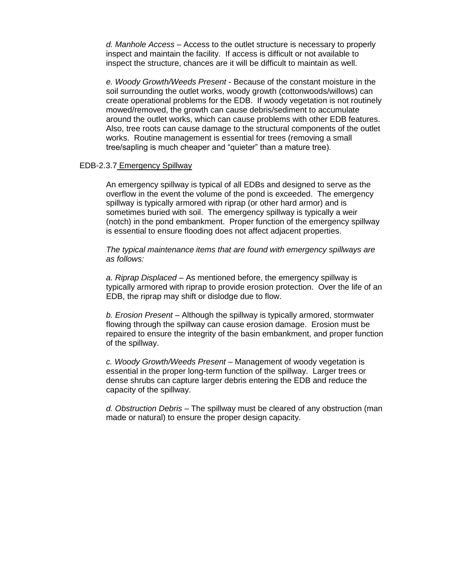*d. Manhole Access* – Access to the outlet structure is necessary to properly inspect and maintain the facility. If access is difficult or not available to inspect the structure, chances are it will be difficult to maintain as well.

*e. Woody Growth/Weeds Present* - Because of the constant moisture in the soil surrounding the outlet works, woody growth (cottonwoods/willows) can create operational problems for the EDB. If woody vegetation is not routinely mowed/removed, the growth can cause debris/sediment to accumulate around the outlet works, which can cause problems with other EDB features. Also, tree roots can cause damage to the structural components of the outlet works. Routine management is essential for trees (removing a small tree/sapling is much cheaper and "quieter" than a mature tree).

#### <span id="page-11-0"></span>EDB-2.3.7 Emergency Spillway

An emergency spillway is typical of all EDBs and designed to serve as the overflow in the event the volume of the pond is exceeded. The emergency spillway is typically armored with riprap (or other hard armor) and is sometimes buried with soil. The emergency spillway is typically a weir (notch) in the pond embankment. Proper function of the emergency spillway is essential to ensure flooding does not affect adjacent properties.

*The typical maintenance items that are found with emergency spillways are as follows:* 

*a. Riprap Displaced* – As mentioned before, the emergency spillway is typically armored with riprap to provide erosion protection. Over the life of an EDB, the riprap may shift or dislodge due to flow.

*b. Erosion Present* – Although the spillway is typically armored, stormwater flowing through the spillway can cause erosion damage. Erosion must be repaired to ensure the integrity of the basin embankment, and proper function of the spillway.

*c. Woody Growth/Weeds Present* – Management of woody vegetation is essential in the proper long-term function of the spillway. Larger trees or dense shrubs can capture larger debris entering the EDB and reduce the capacity of the spillway.

<span id="page-11-1"></span>*d. Obstruction Debris* – The spillway must be cleared of any obstruction (man made or natural) to ensure the proper design capacity.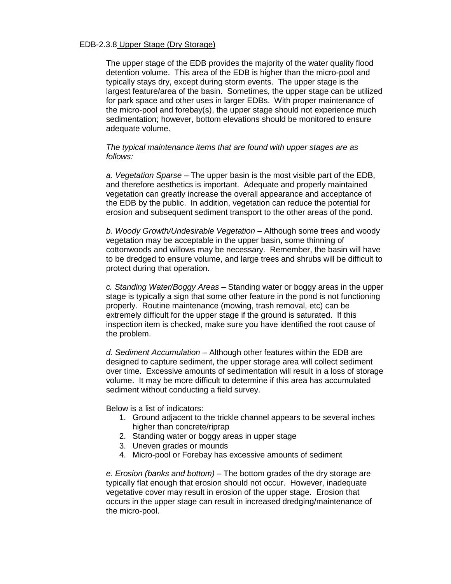#### EDB-2.3.8 Upper Stage (Dry Storage)

The upper stage of the EDB provides the majority of the water quality flood detention volume. This area of the EDB is higher than the micro-pool and typically stays dry, except during storm events. The upper stage is the largest feature/area of the basin. Sometimes, the upper stage can be utilized for park space and other uses in larger EDBs. With proper maintenance of the micro-pool and forebay(s), the upper stage should not experience much sedimentation; however, bottom elevations should be monitored to ensure adequate volume.

#### *The typical maintenance items that are found with upper stages are as follows:*

*a. Vegetation Sparse* – The upper basin is the most visible part of the EDB, and therefore aesthetics is important. Adequate and properly maintained vegetation can greatly increase the overall appearance and acceptance of the EDB by the public. In addition, vegetation can reduce the potential for erosion and subsequent sediment transport to the other areas of the pond.

*b. Woody Growth/Undesirable Vegetation* – Although some trees and woody vegetation may be acceptable in the upper basin, some thinning of cottonwoods and willows may be necessary. Remember, the basin will have to be dredged to ensure volume, and large trees and shrubs will be difficult to protect during that operation.

*c. Standing Water/Boggy Areas* – Standing water or boggy areas in the upper stage is typically a sign that some other feature in the pond is not functioning properly. Routine maintenance (mowing, trash removal, etc) can be extremely difficult for the upper stage if the ground is saturated. If this inspection item is checked, make sure you have identified the root cause of the problem.

*d. Sediment Accumulation* – Although other features within the EDB are designed to capture sediment, the upper storage area will collect sediment over time. Excessive amounts of sedimentation will result in a loss of storage volume. It may be more difficult to determine if this area has accumulated sediment without conducting a field survey.

Below is a list of indicators:

- 1. Ground adjacent to the trickle channel appears to be several inches higher than concrete/riprap
- 2. Standing water or boggy areas in upper stage
- 3. Uneven grades or mounds
- 4. Micro-pool or Forebay has excessive amounts of sediment

*e. Erosion (banks and bottom)* – The bottom grades of the dry storage are typically flat enough that erosion should not occur. However, inadequate vegetative cover may result in erosion of the upper stage. Erosion that occurs in the upper stage can result in increased dredging/maintenance of the micro-pool.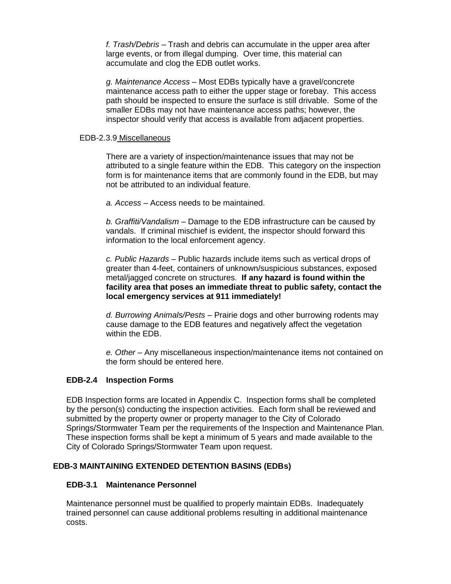*f. Trash/Debris* – Trash and debris can accumulate in the upper area after large events, or from illegal dumping. Over time, this material can accumulate and clog the EDB outlet works.

*g. Maintenance Access* – Most EDBs typically have a gravel/concrete maintenance access path to either the upper stage or forebay. This access path should be inspected to ensure the surface is still drivable. Some of the smaller EDBs may not have maintenance access paths; however, the inspector should verify that access is available from adjacent properties.

#### <span id="page-13-0"></span>EDB-2.3.9 Miscellaneous

There are a variety of inspection/maintenance issues that may not be attributed to a single feature within the EDB. This category on the inspection form is for maintenance items that are commonly found in the EDB, but may not be attributed to an individual feature.

*a. Access* – Access needs to be maintained.

*b. Graffiti/Vandalism* – Damage to the EDB infrastructure can be caused by vandals. If criminal mischief is evident, the inspector should forward this information to the local enforcement agency.

*c. Public Hazards* – Public hazards include items such as vertical drops of greater than 4-feet, containers of unknown/suspicious substances, exposed metal/jagged concrete on structures. **If any hazard is found within the facility area that poses an immediate threat to public safety, contact the local emergency services at 911 immediately!**

*d. Burrowing Animals/Pests* – Prairie dogs and other burrowing rodents may cause damage to the EDB features and negatively affect the vegetation within the EDB.

*e. Other* – Any miscellaneous inspection/maintenance items not contained on the form should be entered here.

## <span id="page-13-1"></span>**EDB-2.4 Inspection Forms**

EDB Inspection forms are located in Appendix C. Inspection forms shall be completed by the person(s) conducting the inspection activities. Each form shall be reviewed and submitted by the property owner or property manager to the City of Colorado Springs/Stormwater Team per the requirements of the Inspection and Maintenance Plan. These inspection forms shall be kept a minimum of 5 years and made available to the City of Colorado Springs/Stormwater Team upon request.

## <span id="page-13-2"></span>**EDB-3 MAINTAINING EXTENDED DETENTION BASINS (EDBs)**

#### <span id="page-13-3"></span>**EDB-3.1 Maintenance Personnel**

Maintenance personnel must be qualified to properly maintain EDBs. Inadequately trained personnel can cause additional problems resulting in additional maintenance costs.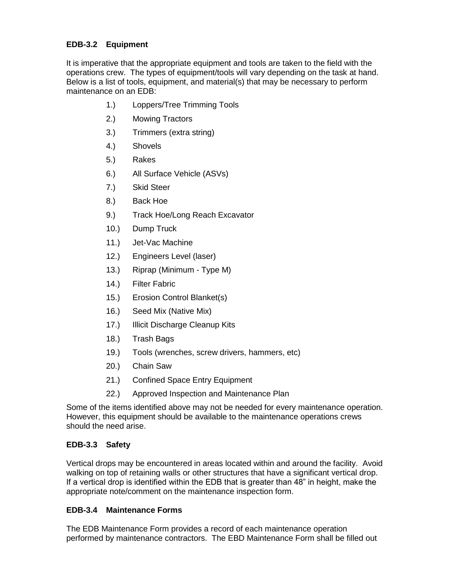# <span id="page-14-0"></span>**EDB-3.2 Equipment**

It is imperative that the appropriate equipment and tools are taken to the field with the operations crew. The types of equipment/tools will vary depending on the task at hand. Below is a list of tools, equipment, and material(s) that may be necessary to perform maintenance on an EDB:

- 1.) Loppers/Tree Trimming Tools
- 2.) Mowing Tractors
- 3.) Trimmers (extra string)
- 4.) Shovels
- 5.) Rakes
- 6.) All Surface Vehicle (ASVs)
- 7.) Skid Steer
- 8.) Back Hoe
- 9.) Track Hoe/Long Reach Excavator
- 10.) Dump Truck
- 11.) Jet-Vac Machine
- 12.) Engineers Level (laser)
- 13.) Riprap (Minimum Type M)
- 14.) Filter Fabric
- 15.) Erosion Control Blanket(s)
- 16.) Seed Mix (Native Mix)
- 17.) Illicit Discharge Cleanup Kits
- 18.) Trash Bags
- 19.) Tools (wrenches, screw drivers, hammers, etc)
- 20.) Chain Saw
- 21.) Confined Space Entry Equipment
- 22.) Approved Inspection and Maintenance Plan

Some of the items identified above may not be needed for every maintenance operation. However, this equipment should be available to the maintenance operations crews should the need arise.

# <span id="page-14-1"></span>**EDB-3.3 Safety**

Vertical drops may be encountered in areas located within and around the facility. Avoid walking on top of retaining walls or other structures that have a significant vertical drop. If a vertical drop is identified within the EDB that is greater than 48" in height, make the appropriate note/comment on the maintenance inspection form.

# <span id="page-14-2"></span>**EDB-3.4 Maintenance Forms**

The EDB Maintenance Form provides a record of each maintenance operation performed by maintenance contractors. The EBD Maintenance Form shall be filled out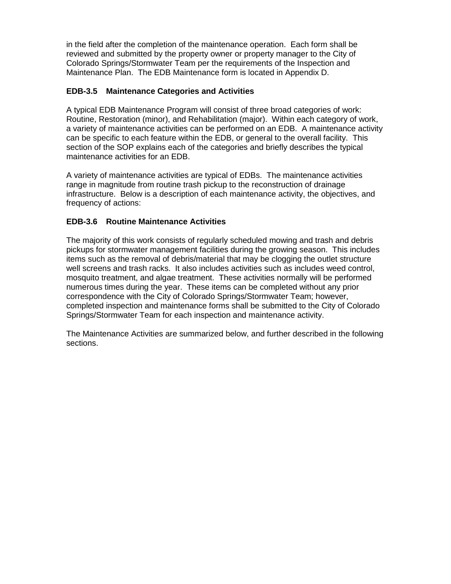in the field after the completion of the maintenance operation. Each form shall be reviewed and submitted by the property owner or property manager to the City of Colorado Springs/Stormwater Team per the requirements of the Inspection and Maintenance Plan. The EDB Maintenance form is located in Appendix D.

# <span id="page-15-0"></span>**EDB-3.5 Maintenance Categories and Activities**

A typical EDB Maintenance Program will consist of three broad categories of work: Routine, Restoration (minor), and Rehabilitation (major). Within each category of work, a variety of maintenance activities can be performed on an EDB. A maintenance activity can be specific to each feature within the EDB, or general to the overall facility. This section of the SOP explains each of the categories and briefly describes the typical maintenance activities for an EDB.

A variety of maintenance activities are typical of EDBs. The maintenance activities range in magnitude from routine trash pickup to the reconstruction of drainage infrastructure. Below is a description of each maintenance activity, the objectives, and frequency of actions:

# <span id="page-15-1"></span>**EDB-3.6 Routine Maintenance Activities**

The majority of this work consists of regularly scheduled mowing and trash and debris pickups for stormwater management facilities during the growing season. This includes items such as the removal of debris/material that may be clogging the outlet structure well screens and trash racks. It also includes activities such as includes weed control, mosquito treatment, and algae treatment. These activities normally will be performed numerous times during the year. These items can be completed without any prior correspondence with the City of Colorado Springs/Stormwater Team; however, completed inspection and maintenance forms shall be submitted to the City of Colorado Springs/Stormwater Team for each inspection and maintenance activity.

The Maintenance Activities are summarized below, and further described in the following sections.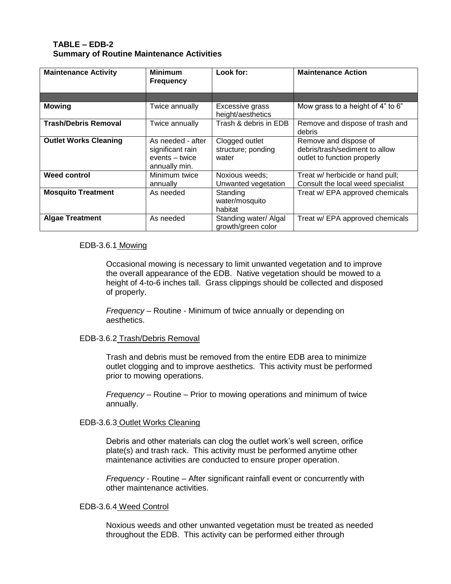#### **TABLE – EDB-2 Summary of Routine Maintenance Activities**

| <b>Maintenance Activity</b>  | <b>Minimum</b><br><b>Frequency</b>                                       | Look for:                                     | <b>Maintenance Action</b>                                                              |
|------------------------------|--------------------------------------------------------------------------|-----------------------------------------------|----------------------------------------------------------------------------------------|
|                              |                                                                          |                                               |                                                                                        |
| <b>Mowing</b>                | Twice annually                                                           | Excessive grass<br>height/aesthetics          | Mow grass to a height of 4" to 6"                                                      |
| <b>Trash/Debris Removal</b>  | Twice annually                                                           | Trash & debris in EDB                         | Remove and dispose of trash and<br>debris                                              |
| <b>Outlet Works Cleaning</b> | As needed - after<br>significant rain<br>events – twice<br>annually min. | Clogged outlet<br>structure; ponding<br>water | Remove and dispose of<br>debris/trash/sediment to allow<br>outlet to function properly |
| <b>Weed control</b>          | Minimum twice<br>annually                                                | Noxious weeds:<br>Unwanted vegetation         | Treat w/ herbicide or hand pull;<br>Consult the local weed specialist                  |
| <b>Mosquito Treatment</b>    | As needed                                                                | Standing<br>water/mosquito<br>habitat         | Treat w/ EPA approved chemicals                                                        |
| <b>Algae Treatment</b>       | As needed                                                                | Standing water/ Algal<br>growth/green color   | Treat w/ EPA approved chemicals                                                        |

#### <span id="page-16-0"></span>EDB-3.6.1 Mowing

Occasional mowing is necessary to limit unwanted vegetation and to improve the overall appearance of the EDB. Native vegetation should be mowed to a height of 4-to-6 inches tall. Grass clippings should be collected and disposed of properly.

*Frequency* – Routine - Minimum of twice annually or depending on aesthetics.

#### <span id="page-16-1"></span>EDB-3.6.2 Trash/Debris Removal

Trash and debris must be removed from the entire EDB area to minimize outlet clogging and to improve aesthetics. This activity must be performed prior to mowing operations.

*Frequency –* Routine – Prior to mowing operations and minimum of twice annually.

#### <span id="page-16-2"></span>EDB-3.6.3 Outlet Works Cleaning

Debris and other materials can clog the outlet work's well screen, orifice plate(s) and trash rack. This activity must be performed anytime other maintenance activities are conducted to ensure proper operation.

*Frequency* - Routine – After significant rainfall event or concurrently with other maintenance activities.

#### <span id="page-16-3"></span>EDB-3.6.4 Weed Control

Noxious weeds and other unwanted vegetation must be treated as needed throughout the EDB. This activity can be performed either through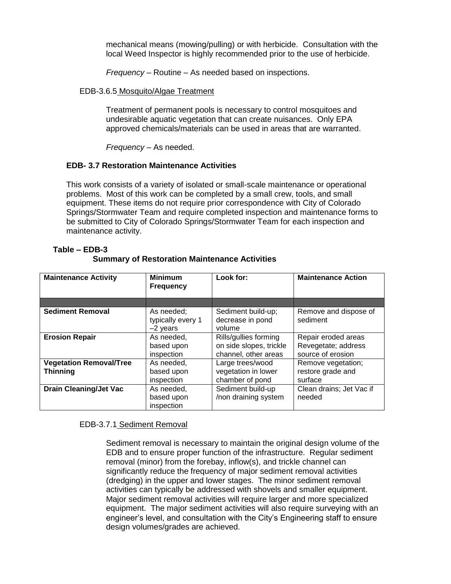mechanical means (mowing/pulling) or with herbicide. Consultation with the local Weed Inspector is highly recommended prior to the use of herbicide.

*Frequency –* Routine – As needed based on inspections.

#### <span id="page-17-0"></span>EDB-3.6.5 Mosquito/Algae Treatment

Treatment of permanent pools is necessary to control mosquitoes and undesirable aquatic vegetation that can create nuisances. Only EPA approved chemicals/materials can be used in areas that are warranted.

*Frequency* – As needed.

## <span id="page-17-1"></span>**EDB- 3.7 Restoration Maintenance Activities**

This work consists of a variety of isolated or small-scale maintenance or operational problems. Most of this work can be completed by a small crew, tools, and small equipment. These items do not require prior correspondence with City of Colorado Springs/Stormwater Team and require completed inspection and maintenance forms to be submitted to City of Colorado Springs/Stormwater Team for each inspection and maintenance activity.

| <b>Maintenance Activity</b>                       | <b>Minimum</b><br><b>Frequency</b>            | Look for:                                                                | <b>Maintenance Action</b>                                       |
|---------------------------------------------------|-----------------------------------------------|--------------------------------------------------------------------------|-----------------------------------------------------------------|
|                                                   |                                               |                                                                          |                                                                 |
| <b>Sediment Removal</b>                           | As needed:<br>typically every 1<br>$-2$ years | Sediment build-up;<br>decrease in pond<br>volume                         | Remove and dispose of<br>sediment                               |
| <b>Erosion Repair</b>                             | As needed,<br>based upon<br>inspection        | Rills/gullies forming<br>on side slopes, trickle<br>channel, other areas | Repair eroded areas<br>Revegetate; address<br>source of erosion |
| <b>Vegetation Removal/Tree</b><br><b>Thinning</b> | As needed,<br>based upon<br>inspection        | Large trees/wood<br>vegetation in lower<br>chamber of pond               | Remove vegetation;<br>restore grade and<br>surface              |
| <b>Drain Cleaning/Jet Vac</b>                     | As needed,<br>based upon<br>inspection        | Sediment build-up<br>/non draining system                                | Clean drains; Jet Vac if<br>needed                              |

## **Table – EDB-3 Summary of Restoration Maintenance Activities**

## <span id="page-17-2"></span>EDB-3.7.1 Sediment Removal

Sediment removal is necessary to maintain the original design volume of the EDB and to ensure proper function of the infrastructure. Regular sediment removal (minor) from the forebay, inflow(s), and trickle channel can significantly reduce the frequency of major sediment removal activities (dredging) in the upper and lower stages. The minor sediment removal activities can typically be addressed with shovels and smaller equipment. Major sediment removal activities will require larger and more specialized equipment. The major sediment activities will also require surveying with an engineer's level, and consultation with the City's Engineering staff to ensure design volumes/grades are achieved.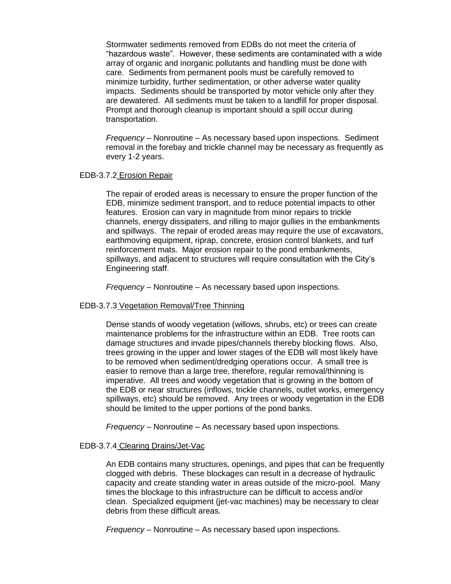Stormwater sediments removed from EDBs do not meet the criteria of "hazardous waste". However, these sediments are contaminated with a wide array of organic and inorganic pollutants and handling must be done with care. Sediments from permanent pools must be carefully removed to minimize turbidity, further sedimentation, or other adverse water quality impacts. Sediments should be transported by motor vehicle only after they are dewatered. All sediments must be taken to a landfill for proper disposal. Prompt and thorough cleanup is important should a spill occur during transportation.

*Frequency* – Nonroutine – As necessary based upon inspections. Sediment removal in the forebay and trickle channel may be necessary as frequently as every 1-2 years.

#### <span id="page-18-0"></span>EDB-3.7.2 Erosion Repair

The repair of eroded areas is necessary to ensure the proper function of the EDB, minimize sediment transport, and to reduce potential impacts to other features. Erosion can vary in magnitude from minor repairs to trickle channels, energy dissipaters, and rilling to major gullies in the embankments and spillways. The repair of eroded areas may require the use of excavators, earthmoving equipment, riprap, concrete, erosion control blankets, and turf reinforcement mats. Major erosion repair to the pond embankments, spillways, and adjacent to structures will require consultation with the City's Engineering staff.

*Frequency* – Nonroutine – As necessary based upon inspections.

#### <span id="page-18-1"></span>EDB-3.7.3 Vegetation Removal/Tree Thinning

Dense stands of woody vegetation (willows, shrubs, etc) or trees can create maintenance problems for the infrastructure within an EDB. Tree roots can damage structures and invade pipes/channels thereby blocking flows. Also, trees growing in the upper and lower stages of the EDB will most likely have to be removed when sediment/dredging operations occur. A small tree is easier to remove than a large tree, therefore, regular removal/thinning is imperative. All trees and woody vegetation that is growing in the bottom of the EDB or near structures (inflows, trickle channels, outlet works, emergency spillways, etc) should be removed. Any trees or woody vegetation in the EDB should be limited to the upper portions of the pond banks.

*Frequency –* Nonroutine – As necessary based upon inspections.

#### <span id="page-18-2"></span>EDB-3.7.4 Clearing Drains/Jet-Vac

An EDB contains many structures, openings, and pipes that can be frequently clogged with debris. These blockages can result in a decrease of hydraulic capacity and create standing water in areas outside of the micro-pool. Many times the blockage to this infrastructure can be difficult to access and/or clean. Specialized equipment (jet-vac machines) may be necessary to clear debris from these difficult areas.

*Frequency –* Nonroutine – As necessary based upon inspections.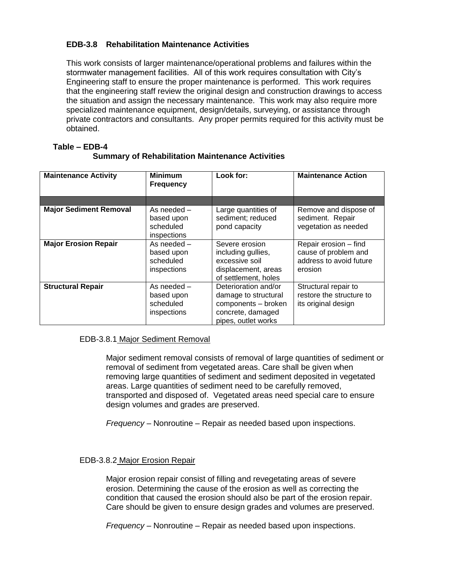# <span id="page-19-0"></span>**EDB-3.8 Rehabilitation Maintenance Activities**

This work consists of larger maintenance/operational problems and failures within the stormwater management facilities. All of this work requires consultation with City's Engineering staff to ensure the proper maintenance is performed. This work requires that the engineering staff review the original design and construction drawings to access the situation and assign the necessary maintenance. This work may also require more specialized maintenance equipment, design/details, surveying, or assistance through private contractors and consultants. Any proper permits required for this activity must be obtained.

| <b>Maintenance Activity</b>   | <b>Minimum</b><br><b>Frequency</b>                    | Look for:                                                                                                       | <b>Maintenance Action</b>                                                           |
|-------------------------------|-------------------------------------------------------|-----------------------------------------------------------------------------------------------------------------|-------------------------------------------------------------------------------------|
|                               |                                                       |                                                                                                                 |                                                                                     |
| <b>Major Sediment Removal</b> | As needed -<br>based upon<br>scheduled<br>inspections | Large quantities of<br>sediment; reduced<br>pond capacity                                                       | Remove and dispose of<br>sediment. Repair<br>vegetation as needed                   |
| <b>Major Erosion Repair</b>   | As needed -<br>based upon<br>scheduled<br>inspections | Severe erosion<br>including gullies,<br>excessive soil<br>displacement, areas<br>of settlement, holes           | Repair erosion - find<br>cause of problem and<br>address to avoid future<br>erosion |
| <b>Structural Repair</b>      | As needed -<br>based upon<br>scheduled<br>inspections | Deterioration and/or<br>damage to structural<br>components - broken<br>concrete, damaged<br>pipes, outlet works | Structural repair to<br>restore the structure to<br>its original design             |

#### **Table – EDB-4 Summary of Rehabilitation Maintenance Activities**

## <span id="page-19-1"></span>EDB-3.8.1 Major Sediment Removal

Major sediment removal consists of removal of large quantities of sediment or removal of sediment from vegetated areas. Care shall be given when removing large quantities of sediment and sediment deposited in vegetated areas. Large quantities of sediment need to be carefully removed, transported and disposed of. Vegetated areas need special care to ensure design volumes and grades are preserved.

*Frequency* – Nonroutine – Repair as needed based upon inspections.

#### <span id="page-19-2"></span>EDB-3.8.2 Major Erosion Repair

Major erosion repair consist of filling and revegetating areas of severe erosion. Determining the cause of the erosion as well as correcting the condition that caused the erosion should also be part of the erosion repair. Care should be given to ensure design grades and volumes are preserved.

*Frequency* – Nonroutine – Repair as needed based upon inspections.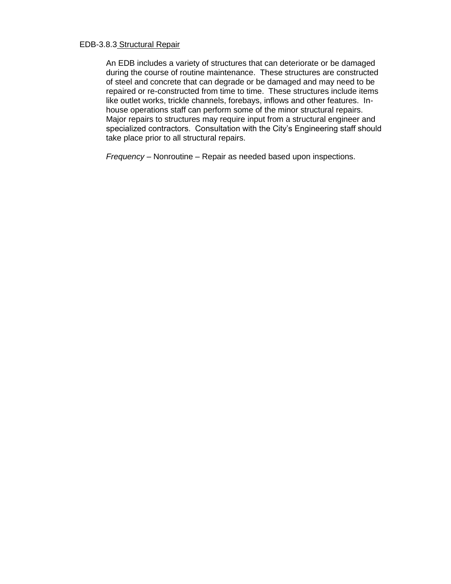#### <span id="page-20-0"></span>EDB-3.8.3 Structural Repair

An EDB includes a variety of structures that can deteriorate or be damaged during the course of routine maintenance. These structures are constructed of steel and concrete that can degrade or be damaged and may need to be repaired or re-constructed from time to time. These structures include items like outlet works, trickle channels, forebays, inflows and other features. Inhouse operations staff can perform some of the minor structural repairs. Major repairs to structures may require input from a structural engineer and specialized contractors. Consultation with the City's Engineering staff should take place prior to all structural repairs.

*Frequency* – Nonroutine – Repair as needed based upon inspections.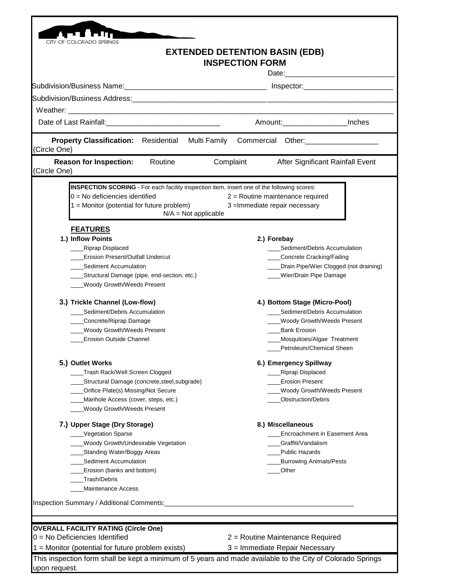|                                                                                                                 |                        | <b>INSPECTION FORM</b> | <b>EXTENDED DETENTION BASIN (EDB)</b>          |  |
|-----------------------------------------------------------------------------------------------------------------|------------------------|------------------------|------------------------------------------------|--|
| Subdivision/Business Name: \\connection \\connection \\connection \\connection \\connection \\connection \\conn |                        |                        |                                                |  |
|                                                                                                                 |                        |                        |                                                |  |
|                                                                                                                 |                        |                        |                                                |  |
| Date of Last Rainfall: Management Case of Last Rainfall:                                                        |                        |                        | Amount: Inches                                 |  |
|                                                                                                                 |                        |                        |                                                |  |
| <b>Property Classification:</b> Residential<br>(Circle One)                                                     | Multi Family           |                        | Commercial Other:<br><u> Commercial</u> Other: |  |
| Routine<br><b>Reason for Inspection:</b><br>(Circle One)                                                        |                        | Complaint              | After Significant Rainfall Event               |  |
| INSPECTION SCORING - For each facility inspection item, insert one of the following scores:                     |                        |                        |                                                |  |
| $0 = No$ deficiencies identified                                                                                |                        |                        | $2$ = Routine maintenance required             |  |
| $1 =$ Monitor (potential for future problem)                                                                    | $N/A = Not applicable$ |                        | 3 = Immediate repair necessary                 |  |
| <b>FEATURES</b>                                                                                                 |                        |                        |                                                |  |
| 1.) Inflow Points                                                                                               |                        |                        | 2.) Forebay                                    |  |
| <b>Riprap Displaced</b>                                                                                         |                        |                        | Sediment/Debris Accumulation                   |  |
| <b>Erosion Present/Outfall Undercut</b>                                                                         |                        |                        | Concrete Cracking/Failing                      |  |
| Sediment Accumulation                                                                                           |                        |                        | Drain Pipe/Wier Clogged (not draining)         |  |
| Structural Damage (pipe, end-section, etc.)                                                                     |                        |                        | Wier/Drain Pipe Damage                         |  |
| Woody Growth/Weeds Present                                                                                      |                        |                        |                                                |  |
| 3.) Trickle Channel (Low-flow)                                                                                  |                        |                        | 4.) Bottom Stage (Micro-Pool)                  |  |
| Sediment/Debris Accumulation                                                                                    |                        |                        | Sediment/Debris Accumulation                   |  |
| Concrete/Riprap Damage                                                                                          |                        |                        | ____Woody Growth/Weeds Present                 |  |
| <b>Woody Growth/Weeds Present</b>                                                                               |                        |                        | <b>Bank Erosion</b>                            |  |
| <b>Erosion Outside Channel</b>                                                                                  |                        |                        | Mosquitoes/Algae Treatment                     |  |
|                                                                                                                 |                        |                        | _Petroleum/Chemical Sheen                      |  |
| 5.) Outlet Works                                                                                                |                        |                        | 6.) Emergency Spillway                         |  |
| Trash Rack/Well Screen Clogged                                                                                  |                        |                        | <b>Riprap Displaced</b>                        |  |
| Structural Damage (concrete, steel, subgrade)                                                                   |                        |                        | <b>Erosion Present</b>                         |  |
| Orifice Plate(s) Missing/Not Secure                                                                             |                        |                        | Woody Growth/Weeds Present                     |  |
| Manhole Access (cover, steps, etc.)                                                                             |                        |                        | Obstruction/Debris                             |  |
| Woody Growth/Weeds Present                                                                                      |                        |                        |                                                |  |
| 7.) Upper Stage (Dry Storage)                                                                                   |                        |                        | 8.) Miscellaneous                              |  |
| Vegetation Sparse                                                                                               |                        |                        | Encroachment in Easement Area                  |  |
| <b>Woody Growth/Undesirable Vegetation</b>                                                                      |                        |                        | Graffiti/Vandalism                             |  |
| Standing Water/Boggy Areas                                                                                      |                        |                        | <b>Public Hazards</b>                          |  |
| Sediment Accumulation                                                                                           |                        |                        | <b>Burrowing Animals/Pests</b>                 |  |
| Erosion (banks and bottom)                                                                                      |                        |                        | Other                                          |  |
| Trash/Debris<br><b>Maintenance Access</b>                                                                       |                        |                        |                                                |  |
|                                                                                                                 |                        |                        |                                                |  |
| Inspection Summary / Additional Comments:                                                                       |                        |                        |                                                |  |
|                                                                                                                 |                        |                        |                                                |  |
| <b>OVERALL FACILITY RATING (Circle One)</b>                                                                     |                        |                        |                                                |  |
| $0 = No$ Deficiencies Identified                                                                                |                        |                        | 2 = Routine Maintenance Required               |  |
| $1 =$ Monitor (potential for future problem exists)                                                             |                        |                        | 3 = Immediate Repair Necessary                 |  |

This inspection form shall be kept a minimum of 5 years and made available to the City of Colorado Springs upon request.